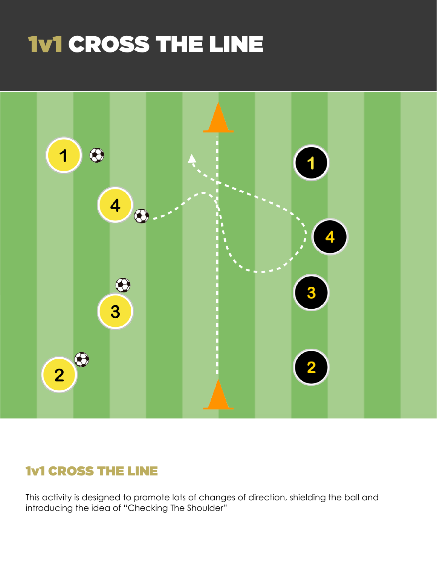# 1v1 CROSS THE LINE



# 1v1 CROSS THE LINE

This activity is designed to promote lots of changes of direction, shielding the ball and introducing the idea of "Checking The Shoulder"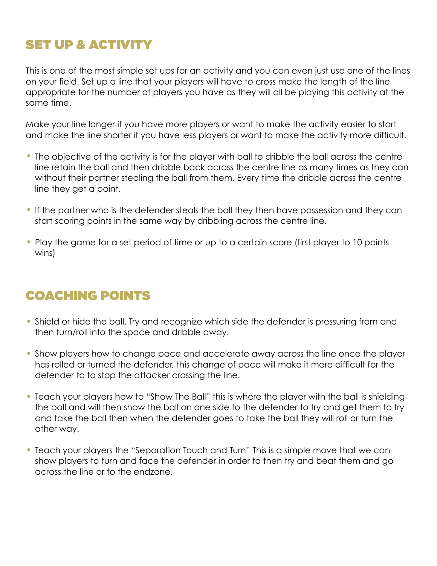# SET UP & ACTIVITY

This is one of the most simple set ups for an activity and you can even just use one of the lines on your field. Set up a line that your players will have to cross make the length of the line appropriate for the number of players you have as they will all be playing this activity at the same time.

Make your line longer if you have more players or want to make the activity easier to start and make the line shorter if you have less players or want to make the activity more difficult.

- The objective of the activity is for the player with ball to dribble the ball across the centre line retain the ball and then dribble back across the centre line as many times as they can without their partner stealing the ball from them. Every time the dribble across the centre line they get a point.
- If the partner who is the defender steals the ball they then have possession and they can start scoring points in the same way by dribbling across the centre line.
- Play the game for a set period of time or up to a certain score (first player to 10 points wins)

# COACHING POINTS

- Shield or hide the ball. Try and recognize which side the defender is pressuring from and then turn/roll into the space and dribble away.
- Show players how to change pace and accelerate away across the line once the player has rolled or turned the defender, this change of pace will make it more difficult for the defender to to stop the attacker crossing the line.
- Teach your players how to "Show The Ball" this is where the player with the ball is shielding the ball and will then show the ball on one side to the defender to try and get them to try and take the ball then when the defender goes to take the ball they will roll or turn the other way.
- Teach your players the "Separation Touch and Turn" This is a simple move that we can show players to turn and face the defender in order to then try and beat them and go across the line or to the endzone.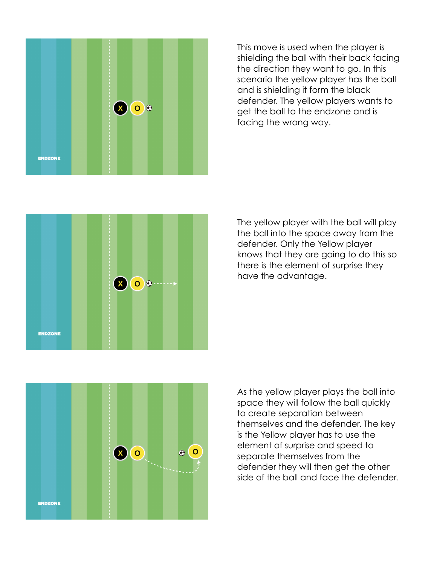

This move is used when the player is shielding the ball with their back facing the direction they want to go. In this scenario the yellow player has the ball and is shielding it form the black defender. The yellow players wants to get the ball to the endzone and is facing the wrong way.



The yellow player with the ball will play the ball into the space away from the defender. Only the Yellow player knows that they are going to do this so there is the element of surprise they have the advantage.



As the yellow player plays the ball into space they will follow the ball quickly to create separation between themselves and the defender. The key is the Yellow player has to use the element of surprise and speed to separate themselves from the defender they will then get the other side of the ball and face the defender.